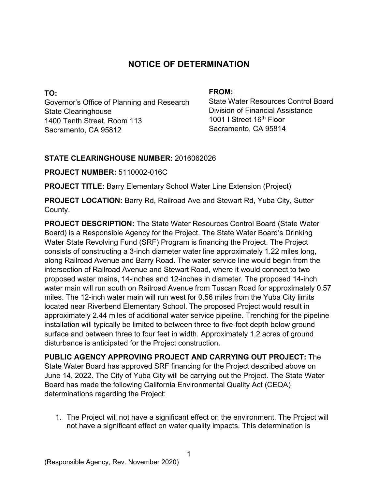# **NOTICE OF DETERMINATION**

**TO:**  Governor's Office of Planning and Research State Clearinghouse 1400 Tenth Street, Room 113 Sacramento, CA 95812

#### **FROM:**

State Water Resources Control Board Division of Financial Assistance 1001 I Street 16<sup>th</sup> Floor Sacramento, CA 95814

#### **STATE CLEARINGHOUSE NUMBER:** 2016062026

**PROJECT NUMBER:** 5110002-016C

**PROJECT TITLE:** Barry Elementary School Water Line Extension (Project)

**PROJECT LOCATION:** Barry Rd, Railroad Ave and Stewart Rd, Yuba City, Sutter County.

**PROJECT DESCRIPTION:** The State Water Resources Control Board (State Water Board) is a Responsible Agency for the Project. The State Water Board's Drinking Water State Revolving Fund (SRF) Program is financing the Project. The Project consists of constructing a 3-inch diameter water line approximately 1.22 miles long, along Railroad Avenue and Barry Road. The water service line would begin from the intersection of Railroad Avenue and Stewart Road, where it would connect to two proposed water mains, 14-inches and 12-inches in diameter. The proposed 14-inch water main will run south on Railroad Avenue from Tuscan Road for approximately 0.57 miles. The 12-inch water main will run west for 0.56 miles from the Yuba City limits located near Riverbend Elementary School. The proposed Project would result in approximately 2.44 miles of additional water service pipeline. Trenching for the pipeline installation will typically be limited to between three to five-foot depth below ground surface and between three to four feet in width. Approximately 1.2 acres of ground disturbance is anticipated for the Project construction.

**PUBLIC AGENCY APPROVING PROJECT AND CARRYING OUT PROJECT:** The State Water Board has approved SRF financing for the Project described above on June 14, 2022. The City of Yuba City will be carrying out the Project. The State Water Board has made the following California Environmental Quality Act (CEQA) determinations regarding the Project:

1. The Project will not have a significant effect on the environment. The Project will not have a significant effect on water quality impacts. This determination is